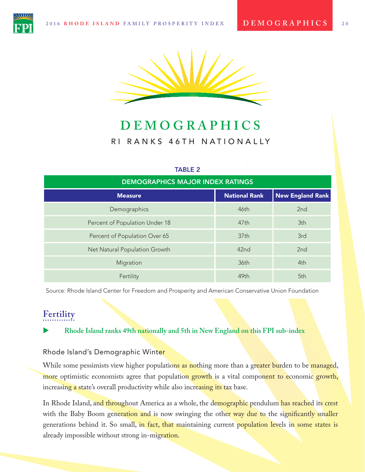

# **DEMOGRAPHICS** RI RANKS 46TH NATIONALLY

#### TABLE 2

| <b>DEMOGRAPHICS MAJOR INDEX RATINGS</b> |                      |                         |  |  |  |
|-----------------------------------------|----------------------|-------------------------|--|--|--|
| <b>Measure</b>                          | <b>National Rank</b> | <b>New England Rank</b> |  |  |  |
| Demographics                            | 46th                 | 2 <sub>nd</sub>         |  |  |  |
| Percent of Population Under 18          | 47 <sub>th</sub>     | 3th                     |  |  |  |
| Percent of Population Over 65           | 37th                 | 3rd                     |  |  |  |
| Net Natural Population Growth           | 42nd                 | 2 <sub>nd</sub>         |  |  |  |
| Migration                               | 36th                 | 4th                     |  |  |  |
| Fertility                               | 49th                 | 5th                     |  |  |  |

Source: Rhode Island Center for Freedom and Prosperity and American Conservative Union Foundation

# **Fertility**

X **Rhode Island ranks 49th nationally and 5th in New England on this FPI sub-index**

### Rhode Island's Demographic Winter

While some pessimists view higher populations as nothing more than a greater burden to be managed, more optimistic economists agree that population growth is a vital component to economic growth, increasing a state's overall productivity while also increasing its tax base.

In Rhode Island, and throughout America as a whole, the demographic pendulum has reached its crest with the Baby Boom generation and is now swinging the other way due to the significantly smaller generations behind it. So small, in fact, that maintaining current population levels in some states is already impossible without strong in-migration.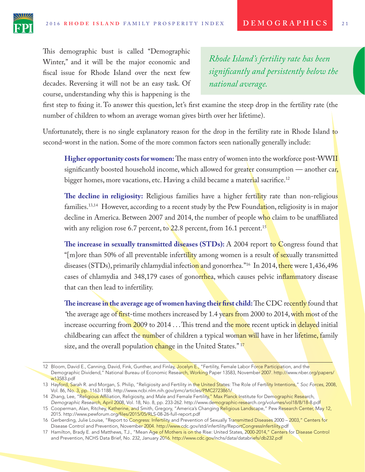

This demographic bust is called "Demographic Winter," and it will be the major economic and fscal issue for Rhode Island over the next few decades. Reversing it will not be an easy task. Of course, understanding why this is happening is the

*Rhode Island's fertility rate has been signifcantly and persistently below the national average.*

frst step to fxing it. To answer this question, let's frst examine the steep drop in the fertility rate (the number of children to whom an average woman gives birth over her lifetime).

Unfortunately, there is no single explanatory reason for the drop in the fertility rate in Rhode Island to second-worst in the nation. Some of the more common factors seen nationally generally include:

**Higher opportunity costs for women:** The mass entry of women into the workforce post-WWII significantly boosted household income, which allowed for greater consumption — another car, bigger homes, more vacations, etc. Having a child became a material sacrifice.<sup>12</sup>

**Te decline in religiosity:** Religious families have a higher fertility rate than non-religious families.<sup>13,14</sup> However, according to a recent study by the Pew Foundation, religiosity is in major decline in America. Between 2007 and 2014, the number of people who claim to be unaffiliated with any religion rose 6.7 percent, to 22.8 percent, from 16.1 percent.<sup>15</sup>

**Te increase in sexually transmitted diseases (STDs):** A 2004 report to Congress found that "[m]ore than 50% of all preventable infertility among women is a result of sexually transmitted diseases (STDs), primarily chlamydial infection and gonorrhea."<sup>16</sup> In 2014, there were 1,436,496 cases of chlamydia and 348,179 cases of gonorrhea, which causes pelvic inflammatory disease that can then lead to infertility.

**The increase in the average age of women having their first child: The CDC recently found that** "the average age o<del>f firs</del>t-time mothers increased by 1.4 years from 2000 to 2014, with most of the increase occurring from 2009 to 2014 . . . This trend and the more recent uptick in delayed initial childbearing can affect the number of children a typical woman will have in her lifetime, family size, and the overall population change in the United States."<sup>17</sup>

<sup>12</sup> Bloom, David E., Canning, David, Fink, Gunther, and Finlay, Jocelyn E., "Fertility, Female Labor Force Participation, and the Demographic Dividend," National Bureau of Economic Research, Working Paper 13583, November 2007. http://www.nber.org/papers/ w13583.pdf

<sup>13</sup> Hayford, Sarah R. and Morgan, S. Philip, "Religiosity and Fertility in the United States: The Role of Fertility Intentions," *Soc Forces*, 2008, Vol. 86, No. 3, pp. 1163-1188. http://www.ncbi.nlm.nih.gov/pmc/articles/PMC2723861/

<sup>14</sup> Zhang, Lee, "R<mark>eligious Affil</mark>iation, Religiosity, and Male and Female Fertili<mark>ty," Max Planck In</mark>stitute for Dem<mark>ographic Rese</mark>arch, *Demographic Research*, April 2008, Vol. 18, No. 8, pp. 233-262. http://www.demographic-research.org/volumes/vol18/8/18-8.pdf

<sup>15</sup> Cooperman, Alan, Ritchey, Katherine, and Smith, Gregory, "America's Changing Religious Landscape," Pew Research Center, May 12, 2015. http://www.pewforum.org/files/2015/05/RLS-08-26-full-report.pdf

<sup>16</sup> Gerberding, Julie Louise, "Report to Congress: Infertility and Prevention of Sexually Transmitted Diseases 2000 - 2003," Centers for Disease Control and Prevention, November 2004. http://www.cdc.gov/std/infertility/ReportCongressInfertility.pdf

<sup>17</sup> Hamilton, Brady E. and Matthews, T.J., "Mean Age of Mothers is on the Rise: United States, 2000-2014," Centers for Disease Control and Prevention, NCHS Data Brief, No. 232, January 2016. http://www.cdc.gov/nchs/data/databriefs/db232.pdf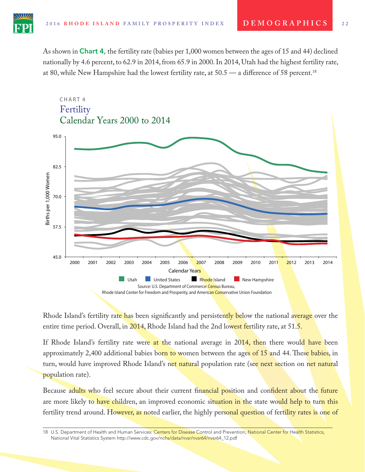As shown in **Chart 4,** the fertility rate (babies per 1,000 women between the ages of 15 and 44) declined nationally by 4.6 percent, to 62.9 in 2014, from 65.9 in 2000. In 2014, Utah had the highest fertility rate, at 80, while New Hampshire had the lowest fertility rate, at 50.5 — a diference of 58 percent.18



Rhode Island's fertility rate has been significantly and persistently below the national average over the entire time period. Overall, in 2014, Rhode Island had the 2nd lowest fertility rate, at 51.5.

If Rhode Island's fertility rate were at the national average in 2014, then there would have been approximately 2,400 additional babies born to women between the ages of 15 and 44. These babies, in turn, would have improved Rhode Island's net natural population rate (see next section on net natural population rate).

Because adults who feel secure about their current financial position and confident about the future are more likely to have children, an improved economic situation in the state would help to turn this fertility trend around. However, as noted earlier, the highly personal question of fertility rates is one of

18 U.S. Department of Health and Human Services: Centers for Disease Control and Prevention, National Center for Health Statistics, National Vital Statistics System http://www.cdc.gov/nchs/data/nvsr/nvsr64/nvsr64\_12.pdf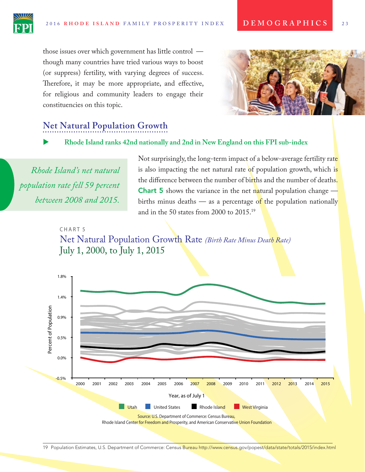those issues over which government has little control though many countries have tried various ways to boost (or suppress) fertility, with varying degrees of success. Therefore, it may be more appropriate, and effective, for religious and community leaders to engage their constituencies on this topic.



# **Net Natural Population Growth**

### X **Rhode Island ranks 42nd nationally and 2nd in New England on this FPI sub-index**

*Rhode Island's net natural population rate fell 59 percent between 2008 and 2015.*

Not surprisingly, the long-term impact of a below-average fertility rate is also impacting the net natural rate of population growth, which is the diference between the number of births and the number of deaths. **Chart 5** shows the variance in the net natural population change  $\frac{1}{\sqrt{2}}$ births minus deaths — as a percentage of the population nationally and in the 50 states from 2000 to 2015.19

#### CHART<sub>5</sub>

Net Natural Population Growth Rate *(Birth Rate Minus Death Rate)* July 1, 2000, to July 1, 2015



19 Population Estimates, U.S. Department of Commerce: Census Bureau http://www.census.gov/popest/data/state/totals/2015/index.html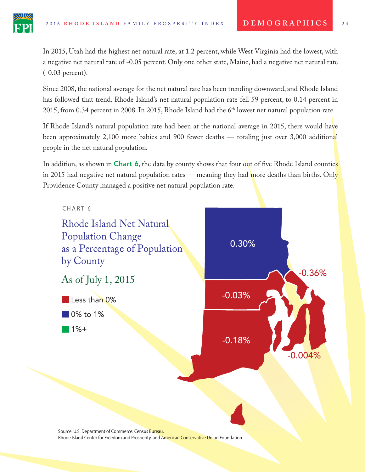In 2015, Utah had the highest net natural rate, at 1.2 percent, while West Virginia had the lowest, with a negative net natural rate of -0.05 percent. Only one other state, Maine, had a negative net natural rate (-0.03 percent).

Since 2008, the national average for the net natural rate has been trending downward, and Rhode Island has followed that trend. Rhode Island's net natural population rate fell 59 percent, to 0.14 percent in 2015, from 0.34 percent in 2008. In 2015, Rhode Island had the 6<sup>th</sup> lowest net natural population rate.

If Rhode Island's natural population rate had been at the national average in 2015, there would have been approximately 2,100 more babies and 900 fewer deaths — totaling just over 3,000 additional people in the net natural population.

In addition, as shown in **Chart 6**, the data by county shows that four out of five Rhode Island counties in 2015 had negative net natural population rates — meaning they had more deaths than births. Only Providence County managed a positive net natural population rate.



Source: U.S. Department of Commerce: Census Bureau, Rhode Island Center for Freedom and Prosperity, and American Conservative Union Foundation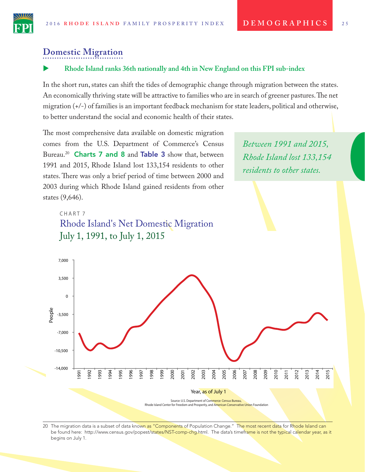*Between 1991 and 2015,* 

*Rhode Island lost 133,154* 

*residents to other states.*



### **Domestic Migration**

#### X **Rhode Island ranks 36th nationally and 4th in New England on this FPI sub-index**

In the short run, states can shift the tides of demographic change through migration between the states. An economically thriving state will be attractive to families who are in search of greener pastures. The net migration (+/-) of families is an important feedback mechanism for state leaders, political and otherwise, to better understand the social and economic health of their states.

The most comprehensive data available on domestic migration comes from the U.S. Department of Commerce's Census Bureau.<sup>20</sup> **Charts 7 and 8 and Table 3 show that, between** 1991 and 2015, Rhode Island lost 133,154 residents to other states. There was only a brief period of time between 2000 and 2003 during which Rhode Island gained residents from other states (9,646).

## CHART<sub>7</sub> July 1, 1991, to July 1, 2015 Rhode Island's Net Domestic Migration

People -14,000 -10,500 -7,000 -3,500 0 3,500 7,000 Year, as of July 1 1991 1992 1993 1994 1995 1996 1997 1998 1999 2000 2001 2002 2003 2004 2005 2006 2007 2008 2009 2010 2011 2012 2013 2014 2015 Source: U.S. Department of Commerce: Census Bureau Rhode Island Center for Freedom and Prosperity, and American Conservative Union Foundation

20 The migration data is a subset of data known as "Components of Population Change." The most recent data for Rhode Island can be found here: http://www.census.gov/popest/states/NST-comp-chg.html. The data's timeframe is not the typical calendar year, as it begins on July 1.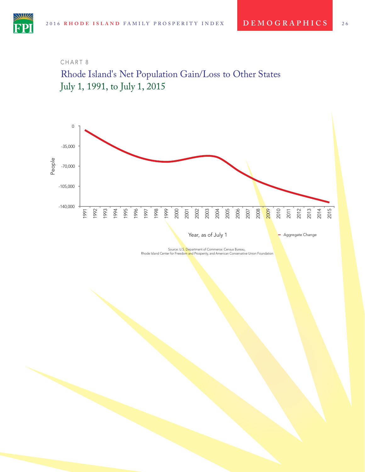### CHART 8





Source: U.S<mark>. D</mark>epartment of Commerce: Census Bureau,<br>Rhode Island Center for Freedo<mark>m an</mark>d Prosperity, and American Conservative Union Foundation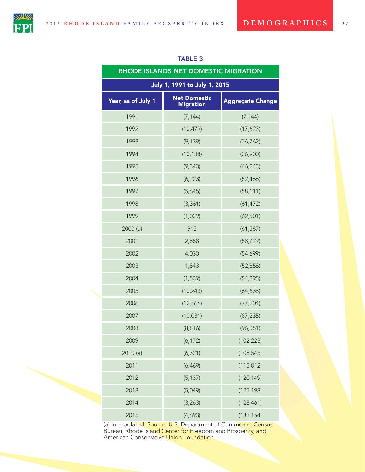

| RHODE ISLANDS NET DOMESTIC MIGRATION                                                     |           |            |  |  |  |  |
|------------------------------------------------------------------------------------------|-----------|------------|--|--|--|--|
| July 1, 1991 to July 1, 2015                                                             |           |            |  |  |  |  |
| <b>Net Domestic</b><br>Year, as of July 1<br><b>Aggregate Change</b><br><b>Migration</b> |           |            |  |  |  |  |
| 1991                                                                                     | (7, 144)  | (7, 144)   |  |  |  |  |
| 1992                                                                                     | (10, 479) | (17,623)   |  |  |  |  |
| 1993                                                                                     | (9, 139)  | (26, 762)  |  |  |  |  |
| 1994                                                                                     | (10, 138) | (36,900)   |  |  |  |  |
| 1995                                                                                     | (9, 343)  | (46, 243)  |  |  |  |  |
| 1996                                                                                     | (6, 223)  | (52, 466)  |  |  |  |  |
| 1997                                                                                     | (5,645)   | (58, 111)  |  |  |  |  |
| 1998                                                                                     | (3, 361)  | (61, 472)  |  |  |  |  |
| 1999                                                                                     | (1,029)   | (62, 501)  |  |  |  |  |
| 2000(a)                                                                                  | 915       | (61, 587)  |  |  |  |  |
| 2001                                                                                     | 2,858     | (58, 729)  |  |  |  |  |
| 2002                                                                                     | 4,030     | (54,699)   |  |  |  |  |
| 2003                                                                                     | 1,843     | (52, 856)  |  |  |  |  |
| 2004                                                                                     | (1, 539)  | (54, 395)  |  |  |  |  |
| 2005                                                                                     | (10, 243) | (64, 638)  |  |  |  |  |
| 2006                                                                                     | (12, 566) | (77, 204)  |  |  |  |  |
| 2007                                                                                     | (10, 031) | (87, 235)  |  |  |  |  |
| 2008                                                                                     | (8,816)   | (96, 051)  |  |  |  |  |
| 2009                                                                                     | (6, 172)  | (102, 223) |  |  |  |  |
| 2010(a)                                                                                  | (6, 321)  | (108, 543) |  |  |  |  |
| 2011                                                                                     | (6, 469)  | (115, 012) |  |  |  |  |
| 2012                                                                                     | (5, 137)  | (120, 149) |  |  |  |  |
| 2013                                                                                     | (5,049)   | (125, 198) |  |  |  |  |
| 2014                                                                                     | (3, 263)  | (128, 461) |  |  |  |  |
| 2015                                                                                     | (4,693)   | (133, 154) |  |  |  |  |

#### TABLE 3

(a) Interpolated. Source: U.S. Department of Commerce: Census Bureau, Rhode Island Center for Freedom and Prosperity, and American Conservative Union Foundation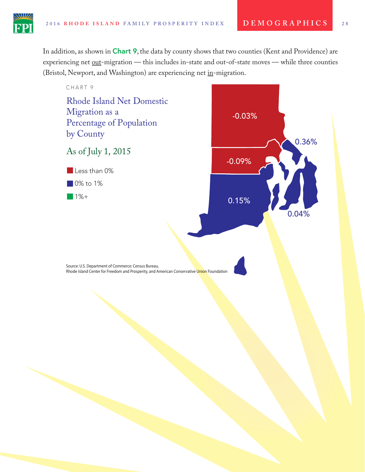

In addition, as shown in **Chart 9**, the data by county shows that two counties (Kent and Providence) are experiencing net out-migration — this includes in-state and out-of-state moves — while three counties (Bristol, Newport, and Washington) are experiencing net in-migration.

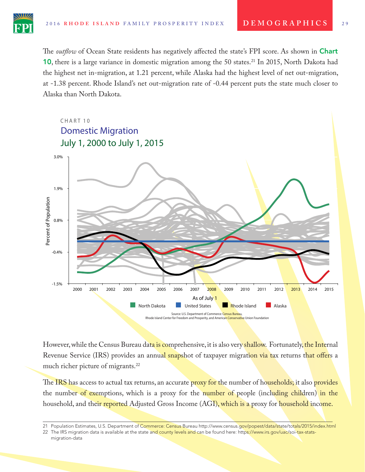The *outflow* of Ocean State residents has negatively affected the state's FPI score. As shown in **Chart** 10, there is a large variance in domestic migration among the 50 states.<sup>21</sup> In 2015, North Dakota had the highest net in-migration, at 1.21 percent, while Alaska had the highest level of net out-migration, at -1.38 percent. Rhode Island's net out-migration rate of -0.44 percent puts the state much closer to Alaska than North Dakota.



However, while the Census Bureau data is comprehensive, it is also very shallow. Fortunately, the Internal Revenue Service (IRS) provides an annual snapshot of taxpayer migration via tax returns that offers a much richer picture of migrants.<sup>22</sup>

The IRS has access to actual tax returns, an accurate proxy for the number of households; it also provides the number of exemptions, which is a proxy for the number of people (including children) in the household, and their reported Adjusted Gross Income (AGI), which is a proxy for household income.

<sup>21</sup> Population Estimates, U.S. Department of Commerce: Census Bureau http://www.census.gov/popest/data/state/totals/2015/index.html

<sup>22</sup> The IRS migration data is available at the state and county levels and can be found here: https://www.irs.gov/uac/soi-tax-statsmigration-data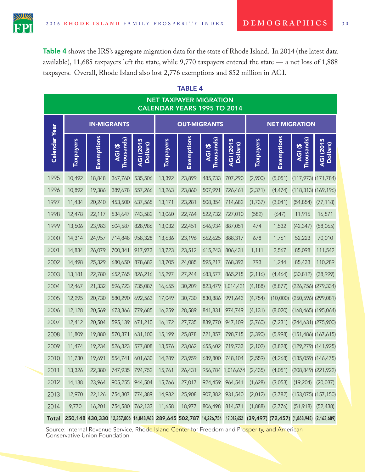Table 4 shows the IRS's aggregate migration data for the state of Rhode Island. In 2014 (the latest data available), 11,685 taxpayers left the state, while 9,770 taxpayers entered the state — a net loss of 1,888 taxpayers. Overall, Rhode Island also lost 2,776 exemptions and \$52 million in AGI.

| <b>NET TAXPAYER MIGRATION</b><br>CALENDAR YEARS 1995 TO 2014 |                                                                                                                             |            |                       |                       |                  |            |                                       |                       |                  |            |                           |                       |
|--------------------------------------------------------------|-----------------------------------------------------------------------------------------------------------------------------|------------|-----------------------|-----------------------|------------------|------------|---------------------------------------|-----------------------|------------------|------------|---------------------------|-----------------------|
|                                                              | <b>OUT-MIGRANTS</b><br><b>IN-MIGRANTS</b>                                                                                   |            |                       |                       |                  |            |                                       | <b>NET MIGRATION</b>  |                  |            |                           |                       |
| <b>Calendar Year</b>                                         | <b>Taxpayers</b>                                                                                                            | Exemptions | Thousands)<br>AGI (\$ | AGI (2015<br>Dollars) | <b>Taxpayers</b> | Exemptions | Thousands)<br>色<br><br>$\overline{Q}$ | AGI (2015<br>Dollars) | <b>Taxpayers</b> | Exemptions | Thousands)<br>AGI (\$     | AGI (2015<br>Dollars) |
| 1995                                                         | 10,492                                                                                                                      | 18,848     | 367,760               | 535,506               | 13,392           | 23,899     | 485,733                               | 707,290               | (2,900)          | (5,051)    | $(117, 973)$ $(171, 784)$ |                       |
| 1996                                                         | 10,892                                                                                                                      | 19,386     | 389,678               | 557,266               | 13,263           | 23,860     | 507,991                               | 726,461               | (2, 371)         | (4, 474)   | $(118, 313)$ $(169, 196)$ |                       |
| 1997                                                         | 11,434                                                                                                                      | 20,240     | 453,500               | 637,565               | 13,171           | 23,281     | 508,354                               | 714,682               | (1,737)          | (3,041)    | (54, 854)                 | (77, 118)             |
| 1998                                                         | 12,478                                                                                                                      | 22,117     | 534,647               | 743,582               | 13,060           | 22,764     | 522,732                               | 727,010               | (582)            | (647)      | 11,915                    | 16,571                |
| 1999                                                         | 13,506                                                                                                                      | 23,983     | 604,587               | 828,986               | 13,032           | 22,451     | 646,934                               | 887,051               | 474              | 1,532      | (42, 347)                 | (58,065)              |
| 2000                                                         | 14,314                                                                                                                      | 24,957     | 714,848               | 958,328               | 13,636           | 23,196     | 662,625                               | 888,317               | 678              | 1,761      | 52,223                    | 70,010                |
| 2001                                                         | 14,834                                                                                                                      | 26,079     | 700,341               | 917,973               | 13,723           | 23,512     | 615,243                               | 806,431               | 1,111            | 2,567      | 85,098                    | 111,542               |
| 2002                                                         | 14,498                                                                                                                      | 25,329     | 680,650               | 878,682               | 13,705           | 24,085     | 595,217                               | 768,393               | 793              | 1,244      | 85,433                    | 110,289               |
| 2003                                                         | 13,181                                                                                                                      | 22,780     | 652,765               | 826,216               | 15,297           | 27,244     | 683,577                               | 865,215               | (2, 116)         | (4, 464)   | (30, 812)                 | (38,999)              |
| 2004                                                         | 12,467                                                                                                                      | 21,332     | 596,723               | 735,087               | 16,655           | 30,209     | 823,479                               | 1,014,421             | (4, 188)         | (8, 877)   | (226,756) (279,334)       |                       |
| 2005                                                         | 12,295                                                                                                                      | 20,730     | 580,290               | 692,563               | 17,049           | 30,730     | 830,886                               | 991,643               | (4, 754)         | (10,000)   | $(250, 596)$ $(299, 081)$ |                       |
| 2006                                                         | 12,128                                                                                                                      | 20,569     | 673,366               | 779,685               | 16,259           | 28,589     | 841,831                               | 974,749               | (4, 131)         | (8,020)    | $(168, 465)$ $(195, 064)$ |                       |
| 2007                                                         | 12,412                                                                                                                      | 20,504     | 595,139               | 671,210               | 16,172           | 27,735     | 839,770                               | 947,109               | (3,760)          | (7, 231)   | (244,631) (275,900)       |                       |
| 2008                                                         | 11,809                                                                                                                      | 19,880     | 570,371               | 631,100               | 15,199           | 25,878     | 721,857                               | 798,715               | (3, 390)         | (5,998)    | $(151, 486)$ $(167, 615)$ |                       |
| 2009                                                         | 11,474                                                                                                                      | 19,234     | 526,323               | 577,808               | 13,576           | 23,062     | 655,602                               | 719,733               | (2, 102)         | (3,828)    | $(129, 279)$ $(141, 925)$ |                       |
| 2010                                                         | 11,730                                                                                                                      | 19,691     | 554,741               | 601,630               | 14,289           | 23,959     | 689,800                               | 748,104               | (2, 559)         | (4,268)    | $(135,059)$ $(146,475)$   |                       |
| 2011                                                         | 13,326                                                                                                                      | 22,380     | 747,935               | 794,752               | 15,761           | 26,431     |                                       | 956,784 1,016,674     | (2, 435)         | (4,051)    | (208,849) (221,922)       |                       |
| 2012                                                         | 14,138                                                                                                                      | 23,964     | 905,255               | 944,504               | 15,766           | 27,017     | 924,459                               | 964,541               | (1,628)          | (3,053)    | (19, 204)                 | (20,037)              |
| 2013                                                         | 12,970                                                                                                                      | 22,126     | 754,307               | 774,389               | 14,982           | 25,908     | 907,382                               | 931,540               | (2,012)          | (3,782)    | $(153,075)$ $(157,150)$   |                       |
| 2014                                                         | 9,770                                                                                                                       | 16,201     | 754,580               | 762,133               | 11,658           | 18,977     | 806,498                               | 814,571               | (1,888)          | (2,776)    | (51, 918)                 | (52, 438)             |
|                                                              | Total 250,148 430,330 12,357,806 14,848,963 289,645 502,787 14,226,754 17,012,652 (39,497) (72,457) (1,868,948) (2,163,689) |            |                       |                       |                  |            |                                       |                       |                  |            |                           |                       |

### TABLE 4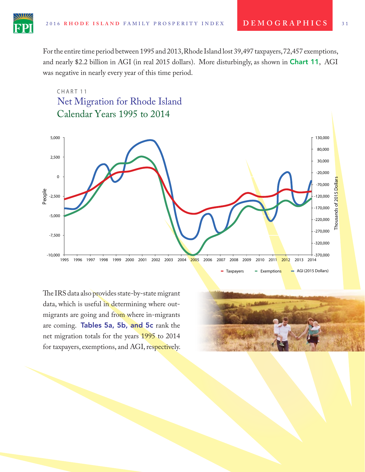For the entire time period between 1995 and 2013, Rhode Island lost 39,497 taxpayers, 72,457 exemptions, and nearly \$2.2 billion in AGI (in real 2015 dollars). More disturbingly, as shown in Chart 11, AGI was negative in nearly every year of this time period.

## CHART<sub>11</sub> Calendar Years 1995 to 2014 Net Migration for Rhode Island



The IRS data also provides state-by-state migrant data, which is useful in determining where outmigrants are going and from where in-migrants are coming. Tables 5a, 5b, and 5c rank the net migration totals for the years 1995 to 2014 for taxpayers, exemptions, and AGI, respectively.

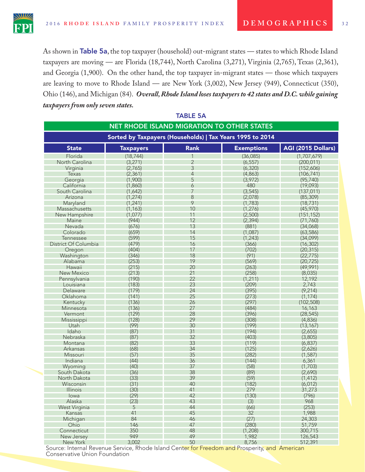

As shown in Table 5a, the top taxpayer (household) out-migrant states — states to which Rhode Island taxpayers are moving — are Florida (18,744), North Carolina (3,271), Virginia (2,765), Texas (2,361), and Georgia (1,900). On the other hand, the top taxpayer in-migrant states — those which taxpayers are leaving to move to Rhode Island — are New York (3,002), New Jersey (949), Connecticut (350), Ohio (146), and Michigan (84). *Overall, Rhode Island loses taxpayers to 42 states and D.C. while gaining taxpayers from only seven states.*

| <b>NET RHODE ISLAND MIGRATION TO OTHER STATES</b>         |                  |                |                   |                    |  |
|-----------------------------------------------------------|------------------|----------------|-------------------|--------------------|--|
| Sorted by Taxpayers (Households)   Tax Years 1995 to 2014 |                  |                |                   |                    |  |
| <b>State</b>                                              | <b>Taxpayers</b> | <b>Rank</b>    | <b>Exemptions</b> | AGI (2015 Dollars) |  |
| Florida                                                   | (18, 744)        |                | (36,085)          | (1,707,679)        |  |
| North Carolina                                            | (3, 271)         | $\overline{2}$ | (6, 557)          | (200, 011)         |  |
| Virginia                                                  | (2,765)          | 3              | (6, 320)          | (152,606)          |  |
| Texas                                                     | (2, 361)         | $\overline{4}$ | (4,863)           | (106, 741)         |  |
| Georgia                                                   | (1,900)          | 5              | (3,972)           | (95, 740)          |  |
| California                                                | (1,860)          | 6              | 480               | (19,093)           |  |
| South Carolina                                            | (1,642)          | $\overline{7}$ | (3, 545)          | (137, 011)         |  |
| Arizona                                                   | (1, 274)         | 8              | (2,078)           | (85, 309)          |  |
| Maryland                                                  | (1, 241)         | 9              | (1,783)           | (18, 731)          |  |
| Massachusetts                                             | (1, 163)         | 10             | (1,276)           | (45, 970)          |  |
| New Hampshire                                             | (1,077)          | 11             | (2,500)           | (151, 152)         |  |
| Maine                                                     | (944)            | 12             | (2, 394)          | (71, 760)          |  |
| Nevada                                                    | (676)            | 13             | (881)             | (34,068)           |  |
| Colorado                                                  | (659)            | 14             | (1,087)           | (63, 586)          |  |
| Tennessee                                                 | (599)            | 15             | (1, 243)          | (34,099)           |  |
| District Of Columbia                                      | (479)            | 16             | (366)             | (16, 302)          |  |
| Oregon                                                    | (404)            | 17             | (702)             | (20, 315)          |  |
| Washington                                                | (346)            | 18             | (91)              | (22, 775)          |  |
| Alabama                                                   | (253)            | 19             | (569)             | (20, 725)          |  |
| Hawaii                                                    | (215)            | 20             | (263)             | (49,991)           |  |
| <b>New Mexico</b>                                         | (213)            | 21             | (258)             | (8,035)            |  |
| Pennsylvania                                              | (190)            | 22             | (1, 211)          | 12,192             |  |
| Louisiana                                                 | (183)            | 23             | (209)             | 2,743              |  |
| Delaware                                                  | (179)            | 24             | (395)             | (9, 214)           |  |
| Oklahoma                                                  | (141)            | 25             | (273)             | (1, 174)           |  |
| Kentucky                                                  | (136)            | 26             | (297)             | (102, 508)         |  |
| Minnesota                                                 | (136)            | 27             | (484)             | 16,163             |  |
| Vermont                                                   | (129)            | 28             | (396)             | (28, 545)          |  |
| Mississippi                                               | (128)            | 29             | (308)             | (4,836)            |  |
| Utah                                                      | (99)             | 30             | (199)             | (13, 167)          |  |
| Idaho                                                     | (87)             | 31             | (194)             | (2,655)            |  |
| Nebraska                                                  | (87)             | 32             | (403)             | (3,805)            |  |
| Montana                                                   | (82)             | 33             | (119)             | (6, 837)           |  |
| Arkansas                                                  | (68)             | 34             | (125)             | (2,626)            |  |
| Missouri                                                  | (57)             | 35             | (282)             | (1, 587)           |  |
| Indiana                                                   | (44)             | 36             | (144)             | 6,361              |  |
| Wyoming                                                   | (40)             | 37             | (58)              | (1,703)            |  |
| South Dakota                                              | (36)             | 38             | (89)              | (2,690)            |  |
| North Dakota                                              | (33)             | 39             | (59)              | (1, 412)           |  |
| Wisconsin                                                 | (31)             | 40             | (182)             | (6,012)            |  |
| <b>Illinois</b>                                           | (30)             | 41             | 279               | 31,273             |  |
| lowa                                                      | (29)             | 42             | (130)             | (796)              |  |
| Alaska                                                    | (23)             | 43             | (3)               | 968                |  |
| West Virginia                                             | 5                | 44             | (66)              | (253)              |  |
| Kansas                                                    | 41               | 45             | 32                | 1,988              |  |
| Michigan                                                  | 84               | 46             | (27)              | 24,303             |  |
| Ohio                                                      | 146              | 47             | (280)             | 51,759             |  |
| Connecticut                                               | 350              | 48             | (1,208)           | 300,715            |  |
| New Jersey                                                | 949              | 49             | 1,982             | 126,543            |  |
| New York                                                  | 3,002            | 50             | 8,756             | 512,391            |  |

TABLE 5A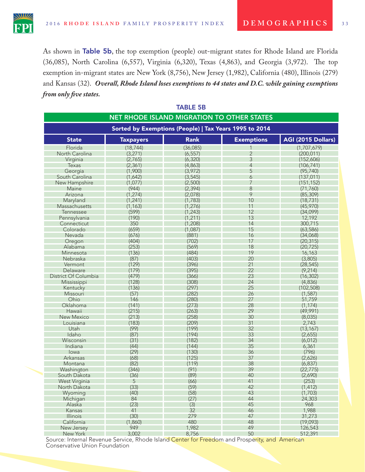As shown in Table 5b, the top exemption (people) out-migrant states for Rhode Island are Florida (36,085), North Carolina (6,557), Virginia (6,320), Texas (4,863), and Georgia (3,972). The top exemption in-migrant states are New York (8,756), New Jersey (1,982), California (480), Illinois (279) and Kansas (32). *Overall, Rhode Island loses exemptions to 44 states and D.C. while gaining exemptions from only fve states.*

| <b>TABLE 5B</b>      |                  |                                                        |                   |                    |
|----------------------|------------------|--------------------------------------------------------|-------------------|--------------------|
|                      |                  | NET RHODE ISLAND MIGRATION TO OTHER STATES             |                   |                    |
|                      |                  | Sorted by Exemptions (People)   Tax Years 1995 to 2014 |                   |                    |
| <b>State</b>         | <b>Taxpayers</b> | <b>Rank</b>                                            | <b>Exemptions</b> | AGI (2015 Dollars) |
| Florida              | (18, 744)        | (36,085)                                               |                   | (1,707,679)        |
| North Carolina       | (3, 271)         | (6, 557)                                               | $\overline{2}$    | (200, 011)         |
| Virginia             | (2,765)          | (6, 320)                                               | 3                 | (152,606)          |
| <b>Texas</b>         | (2, 361)         | (4,863)                                                | $\overline{4}$    | (106, 741)         |
| Georgia              | (1,900)          | (3,972)                                                | 5                 | (95, 740)          |
| South Carolina       | (1,642)          | (3, 545)                                               | 6                 | (137, 011)         |
| New Hampshire        | (1,077)          | (2,500)                                                | 7                 | (151, 152)         |
| Maine                | (944)            | (2, 394)                                               | 8                 | (71, 760)          |
| Arizona              | (1, 274)         | (2,078)                                                | 9                 | (85, 309)          |
| Maryland             | (1, 241)         | (1, 783)                                               | 10                | (18, 731)          |
| Massachusetts        | (1, 163)         | (1, 276)                                               | 11                | (45, 970)          |
| Tennessee            | (599)            | (1, 243)                                               | 12                | (34,099)           |
| Pennsylvania         | (190)            | (1, 211)                                               | 13                | 12,192             |
| Connecticut          | 350              | (1,208)                                                | 14                | 300,715            |
| Colorado             | (659)            | (1,087)                                                | 15                | (63, 586)          |
| Nevada               | (676)            | (881)                                                  | 16                | (34,068)           |
| Oregon               | (404)            | (702)                                                  | 17                | (20, 315)          |
| Alabama              | (253)            | (569)                                                  | 18                | (20, 725)          |
| Minnesota            | (136)            | (484)                                                  | 19                | 16,163             |
| Nebraska             | (87)             | (403)                                                  | 20                | (3,805)            |
| Vermont              | (129)            | (396)                                                  | 21                | (28, 545)          |
| Delaware             | (179)            | (395)                                                  | 22                | (9, 214)           |
| District Of Columbia | (479)            | (366)                                                  | 23                | (16, 302)          |
| Mississippi          | (128)            | (308)                                                  | 24                | (4,836)            |
| Kentucky             | (136)            | (297)                                                  | 25                | (102, 508)         |
| Missouri             | (57)             | (282)                                                  | 26                | (1, 587)           |
| Ohio                 | 146              | (280)                                                  | 27                | 51,759             |
| Oklahoma             | (141)            | (273)                                                  | 28                | (1, 174)           |
| Hawaii               | (215)            | (263)                                                  | 29                | (49,991)           |
| <b>New Mexico</b>    | (213)            | (258)                                                  | 30                | (8,035)            |
| Louisiana            | (183)            | (209)                                                  | 31                | 2,743              |
| Utah                 | (99)             | (199)                                                  | 32                | (13, 167)          |
| Idaho                | (87)             | (194)                                                  | 33                | (2,655)            |
| Wisconsin            | (31)             | (182)                                                  | 34                | (6,012)            |
| Indiana              | (44)             | (144)                                                  | 35                | 6,361              |
| lowa                 | (29)             | (130)                                                  | 36                | (796)              |
| Arkansas             | (68)             | (125)                                                  | 37                | (2,626)            |
| Montana              | (82)             | (119)                                                  | 38                | (6, 837)           |
| Washington           | (346)            | (91)                                                   | 39                | (22, 775)          |
| South Dakota         | (36)             | (89)                                                   | 40                | (2,690)            |
| West Virginia        | 5                | (66)                                                   | 41                | (253)              |
| North Dakota         | (33)             | (59)                                                   | 42                | (1, 412)           |
| Wyoming              | (40)             | (58)                                                   | 43                | (1,703)            |
| Michigan             | 84               | (27)                                                   | 44                | 24,303             |
| Alaska               | (23)             | (3)                                                    | 45                | 968                |
| Kansas               | 41               | 32                                                     | 46                | 1,988              |
| <b>Illinois</b>      | (30)             | 279                                                    | 47                | 31,273             |
| California           | (1,860)          | 480                                                    | 48                | (19,093)           |
| New Jersey           | 949              | 1,982                                                  | 49                | 126,543            |
| New York             | 3,002            | 8,756                                                  | 50                | 512,391            |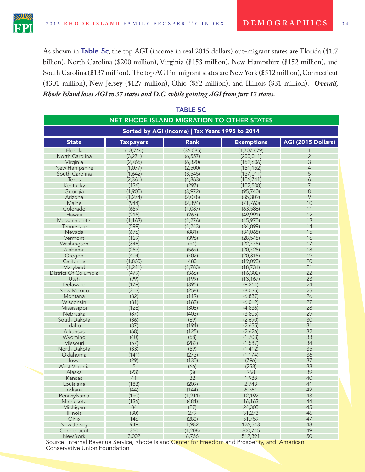As shown in Table 5c, the top AGI (income in real 2015 dollars) out-migrant states are Florida (\$1.7) billion), North Carolina (\$200 million), Virginia (\$153 million), New Hampshire (\$152 million), and South Carolina (\$137 million). The top AGI in-migrant states are New York (\$512 million), Connecticut (\$301 million), New Jersey (\$127 million), Ohio (\$52 million), and Illinois (\$31 million). *Overall, Rhode Island loses AGI to 37 states and D.C. while gaining AGI from just 12 states.*

| <b>TABLE 5C</b>                                 |                  |                                            |                   |                    |  |
|-------------------------------------------------|------------------|--------------------------------------------|-------------------|--------------------|--|
|                                                 |                  | NET RHODE ISLAND MIGRATION TO OTHER STATES |                   |                    |  |
|                                                 |                  |                                            |                   |                    |  |
| Sorted by AGI (Income)   Tax Years 1995 to 2014 |                  |                                            |                   |                    |  |
| <b>State</b>                                    | <b>Taxpayers</b> | <b>Rank</b>                                | <b>Exemptions</b> | AGI (2015 Dollars) |  |
| Florida                                         | (18, 744)        | (36,085)                                   | (1,707,679)       |                    |  |
| North Carolina                                  | (3,271)          | (6, 557)                                   | (200, 011)        | $\overline{2}$     |  |
| Virginia                                        | (2,765)          | (6, 320)                                   | (152,606)         | 3                  |  |
| New Hampshire                                   | (1,077)          | (2,500)                                    | (151, 152)        | $\overline{4}$     |  |
| South Carolina                                  | (1,642)          | (3, 545)                                   | (137, 011)        | 5                  |  |
| Texas                                           | (2, 361)         | (4,863)                                    | (106, 741)        | 6                  |  |
| Kentucky                                        | (136)            | (297)                                      | (102, 508)        | 7                  |  |
| Georgia                                         | (1,900)          | (3,972)                                    | (95, 740)         | 8                  |  |
| Arizona                                         | (1, 274)         | (2,078)                                    | (85, 309)         | 9                  |  |
| Maine                                           | (944)            | (2, 394)                                   | (71, 760)         | 10                 |  |
| Colorado                                        | (659)            | (1,087)                                    | (63, 586)         | 11                 |  |
| Hawaii                                          | (215)            | (263)                                      | (49,991)          | 12                 |  |
| Massachusetts                                   | (1, 163)         | (1,276)                                    | (45, 970)         | 13                 |  |
| <b>Tennessee</b>                                | (599)            | (1, 243)                                   | (34,099)          | 14                 |  |
| Nevada                                          | (676)            | (881)                                      | (34,068)          | 15                 |  |
| Vermont                                         | (129)            | (396)                                      | (28, 545)         | 16                 |  |
| Washington                                      | (346)            | (91)                                       | (22, 775)         | 17                 |  |
| Alabama                                         | (253)            | (569)                                      | (20, 725)         | 18                 |  |
| Oregon                                          | (404)            | (702)                                      | (20, 315)         | 19                 |  |
| California                                      | (1,860)          | 480                                        | (19,093)          | 20                 |  |
| Maryland                                        | (1, 241)         | (1,783)                                    | (18, 731)         | 21                 |  |
| District Of Columbia                            | (479)            | (366)                                      | (16, 302)         | 22                 |  |
| Utah                                            | (99)             | (199)                                      | (13, 167)         | 23                 |  |
| Delaware                                        | (179)            | (395)                                      | (9, 214)          | 24                 |  |
| <b>New Mexico</b>                               | (213)            | (258)                                      | (8,035)           | 25                 |  |
| Montana                                         | (82)             | (119)                                      | (6, 837)          | 26                 |  |
| Wisconsin                                       | (31)             | (182)                                      | (6, 012)          | 27                 |  |
| Mississippi                                     | (128)            | (308)                                      | (4,836)           | 28                 |  |
| Nebraska                                        | (87)             | (403)                                      | (3,805)           | 29                 |  |
| South Dakota                                    | (36)             | (89)                                       | (2,690)           | 30                 |  |
| Idaho                                           | (87)             | (194)                                      | (2,655)           | 31                 |  |
| Arkansas                                        | (68)             | (125)                                      | (2,626)           | 32                 |  |
| Wyoming                                         | (40)             | (58)                                       | (1,703)           | 33                 |  |
| Missouri                                        | (57)             | (282)                                      | (1, 587)          | 34                 |  |
| North Dakota                                    | (33)             | (59)                                       | (1, 412)          | 35                 |  |
| Oklahoma                                        | (141)            | (273)                                      | (1, 174)          | 36                 |  |
| lowa                                            | (29)             | (130)                                      | (796)             | 37                 |  |
| West Virginia                                   | 5                | (66)                                       | (253)             | 38                 |  |
| Alaska                                          | (23)             | (3)                                        | 968               | 39                 |  |
| Kansas                                          | 41               | 32                                         | 1,988             | 40                 |  |
| Louisiana                                       | (183)            | (209)                                      | 2,743             | 41                 |  |
| Indiana                                         | (44)             | (144)                                      | 6,361             | 42                 |  |
| Pennsylvania                                    | (190)            | (1, 211)                                   | 12,192            | 43                 |  |
| Minnesota                                       | (136)            | (484)                                      | 16,163            | 44                 |  |
| Michigan                                        | 84               | (27)                                       | 24,303            | 45                 |  |
| <b>Illinois</b>                                 | (30)             | 279                                        | 31,273            | 46                 |  |
| Ohio                                            | 146              | (280)                                      | 51,759            | 47                 |  |
| New Jersey                                      | 949              | 1,982                                      | 126,543           | 48                 |  |
| Connecticut                                     | 350              | (1,208)                                    | 300,715           | 49                 |  |
| New York                                        | 3,002            | 8,756                                      | 512,391           | 50                 |  |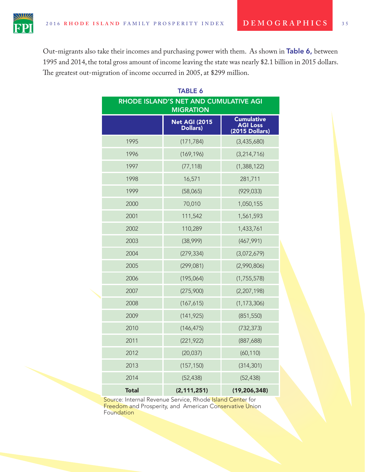The greatest out-migration of income occurred in 2005, at \$299 million.

Out-migrants also take their incomes and purchasing power with them. As shown in Table 6, between 1995 and 2014, the total gross amount of income leaving the state was nearly \$2.1 billion in 2015 dollars.

| <b>TABLE 6</b><br>RHODE ISLAND'S NET AND CUMULATIVE AGI                                                               |               |                |  |  |  |  |
|-----------------------------------------------------------------------------------------------------------------------|---------------|----------------|--|--|--|--|
| <b>MIGRATION</b><br><b>Cumulative</b><br><b>Net AGI (2015</b><br><b>AGI Loss</b><br>Dollars)<br><b>(2015 Dollars)</b> |               |                |  |  |  |  |
| 1995                                                                                                                  | (171, 784)    | (3,435,680)    |  |  |  |  |
| 1996                                                                                                                  | (169, 196)    | (3,214,716)    |  |  |  |  |
| 1997                                                                                                                  | (77, 118)     | (1,388,122)    |  |  |  |  |
| 1998                                                                                                                  | 16,571        | 281,711        |  |  |  |  |
| 1999                                                                                                                  | (58,065)      | (929, 033)     |  |  |  |  |
| 2000                                                                                                                  | 70,010        | 1,050,155      |  |  |  |  |
| 2001                                                                                                                  | 111,542       | 1,561,593      |  |  |  |  |
| 2002                                                                                                                  | 110,289       | 1,433,761      |  |  |  |  |
| 2003                                                                                                                  | (38,999)      | (467, 991)     |  |  |  |  |
| 2004                                                                                                                  | (279, 334)    | (3,072,679)    |  |  |  |  |
| 2005                                                                                                                  | (299, 081)    | (2,990,806)    |  |  |  |  |
| 2006                                                                                                                  | (195,064)     | (1,755,578)    |  |  |  |  |
| 2007                                                                                                                  | (275,900)     | (2,207,198)    |  |  |  |  |
| 2008                                                                                                                  | (167, 615)    | (1, 173, 306)  |  |  |  |  |
| 2009                                                                                                                  | (141, 925)    | (851, 550)     |  |  |  |  |
| 2010                                                                                                                  | (146, 475)    | (732, 373)     |  |  |  |  |
| 2011                                                                                                                  | (221, 922)    | (887, 688)     |  |  |  |  |
| 2012                                                                                                                  | (20,037)      | (60, 110)      |  |  |  |  |
| 2013                                                                                                                  | (157, 150)    | (314, 301)     |  |  |  |  |
| 2014                                                                                                                  | (52, 438)     | (52, 438)      |  |  |  |  |
| <b>Total</b>                                                                                                          | (2, 111, 251) | (19, 206, 348) |  |  |  |  |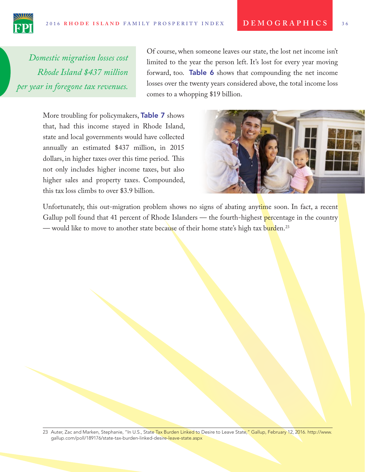*Domestic migration losses cost Rhode Island \$437 million per year in foregone tax revenues.*

Of course, when someone leaves our state, the lost net income isn't limited to the year the person left. It's lost for every year moving forward, too. Table 6 shows that compounding the net income losses over the twenty years considered above, the total income loss comes to a whopping \$19 billion.

More troubling for policymakers, Table 7 shows that, had this income stayed in Rhode Island, state and local governments would have collected annually an estimated \$437 million, in 2015 dollars, in higher taxes over this time period. This not only includes higher income taxes, but also higher sales and property taxes. Compounded, this tax loss climbs to over \$3.9 billion.



Unfortunately, this out-migration problem shows no signs of abating anytime soon. In fact, a recent Gallup poll found that 41 percent of Rhode Islanders — the fourth-highest percentage in the country — would like to move to another state because of their home state's high tax burden.<sup>23</sup>

<sup>23</sup> Auter, Zac and Marken, Stephanie, "In U.S., State Tax Burden Linked to Desire to Leave State," Gallup, February 12, 2016. http://www. gallup.com/poll/189176/state-tax-burden-linked-desire-leave-state.aspx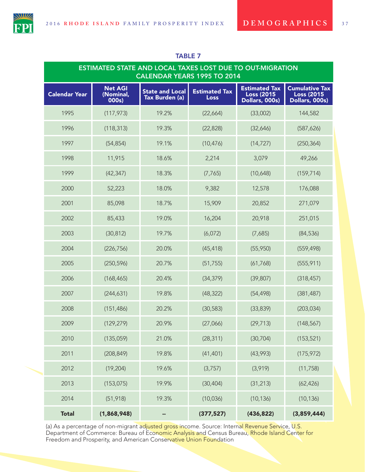

| <b>ESTIMATED STATE AND LOCAL TAXES LOST DUE TO OUT-MIGRATION</b><br><b>CALENDAR YEARS 1995 TO 2014</b> |                                      |                                          |                                     |                                                             |                                                              |  |
|--------------------------------------------------------------------------------------------------------|--------------------------------------|------------------------------------------|-------------------------------------|-------------------------------------------------------------|--------------------------------------------------------------|--|
| <b>Calendar Year</b>                                                                                   | <b>Net AGI</b><br>(Nominal,<br>000s) | <b>State and Local</b><br>Tax Burden (a) | <b>Estimated Tax</b><br><b>Loss</b> | <b>Estimated Tax</b><br><b>Loss (2015</b><br>Dollars, 000s) | <b>Cumulative Tax</b><br><b>Loss (2015</b><br>Dollars, 000s) |  |
| 1995                                                                                                   | (117, 973)                           | 19.2%                                    | (22,664)                            | (33,002)                                                    | 144,582                                                      |  |
| 1996                                                                                                   | (118, 313)                           | 19.3%                                    | (22, 828)                           | (32,646)                                                    | (587, 626)                                                   |  |
| 1997                                                                                                   | (54, 854)                            | 19.1%                                    | (10, 476)                           | (14, 727)                                                   | (250, 364)                                                   |  |
| 1998                                                                                                   | 11,915                               | 18.6%                                    | 2,214                               | 3,079                                                       | 49,266                                                       |  |
| 1999                                                                                                   | (42, 347)                            | 18.3%                                    | (7, 765)                            | (10,648)                                                    | (159, 714)                                                   |  |
| 2000                                                                                                   | 52,223                               | 18.0%                                    | 9,382                               | 12,578                                                      | 176,088                                                      |  |
| 2001                                                                                                   | 85,098                               | 18.7%                                    | 15,909                              | 20,852                                                      | 271,079                                                      |  |
| 2002                                                                                                   | 85,433                               | 19.0%                                    | 16,204                              | 20,918                                                      | 251,015                                                      |  |
| 2003                                                                                                   | (30, 812)                            | 19.7%                                    | (6,072)                             | (7,685)                                                     | (84, 536)                                                    |  |
| 2004                                                                                                   | (226, 756)                           | 20.0%                                    | (45, 418)                           | (55, 950)                                                   | (559, 498)                                                   |  |
| 2005                                                                                                   | (250, 596)                           | 20.7%                                    | (51, 755)                           | (61, 768)                                                   | (555, 911)                                                   |  |
| 2006                                                                                                   | (168, 465)                           | 20.4%                                    | (34, 379)                           | (39, 807)                                                   | (318, 457)                                                   |  |
| 2007                                                                                                   | (244, 631)                           | 19.8%                                    | (48, 322)                           | (54, 498)                                                   | (381, 487)                                                   |  |
| 2008                                                                                                   | (151, 486)                           | 20.2%                                    | (30, 583)                           | (33, 839)                                                   | (203, 034)                                                   |  |
| 2009                                                                                                   | (129, 279)                           | 20.9%                                    | (27,066)                            | (29, 713)                                                   | (148, 567)                                                   |  |
| 2010                                                                                                   | (135,059)                            | 21.0%                                    | (28, 311)                           | (30, 704)                                                   | (153, 521)                                                   |  |
| 2011                                                                                                   | (208, 849)                           | 19.8%                                    | (41, 401)                           | (43,993)                                                    | (175, 972)                                                   |  |
| 2012                                                                                                   | (19, 204)                            | 19.6%                                    | (3,757)                             | (3,919)                                                     | (11, 758)                                                    |  |
| 2013                                                                                                   | (153, 075)                           | 19.9%                                    | (30, 404)                           | (31, 213)                                                   | (62, 426)                                                    |  |
| 2014                                                                                                   | (51, 918)                            | 19.3%                                    | (10,036)                            | (10, 136)                                                   | (10, 136)                                                    |  |
| <b>Total</b>                                                                                           | (1,868,948)                          | ⊷                                        | (377, 527)                          | (436, 822)                                                  | (3,859,444)                                                  |  |

### TABLE 7

(a) As a percentage of non-migrant adjusted gross income. Source: Internal Revenue Service, U.S. Department of Commerce: Bureau of Economic Analysis and Census Bureau, Rhode Island Center for Freedom and Prosperity, and American Conservative Union Foundation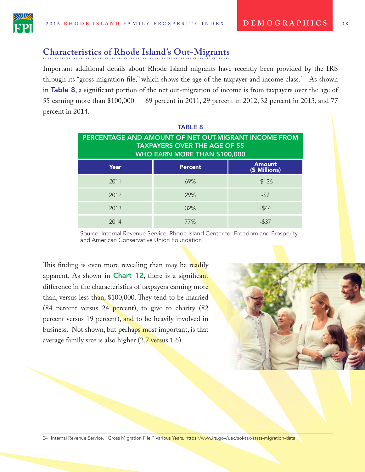

## **Characteristics of Rhode Island's Out-Migrants**

Important additional details about Rhode Island migrants have recently been provided by the IRS through its "gross migration fle," which shows the age of the taxpayer and income class.24 As shown in Table 8, a signifcant portion of the net out-migration of income is from taxpayers over the age of 55 earning more than \$100,000 — 69 percent in 2011, 29 percent in 2012, 32 percent in 2013, and 77 percent in 2014.

| <b>TABLE 8</b>                                                                              |                |                                |  |  |  |
|---------------------------------------------------------------------------------------------|----------------|--------------------------------|--|--|--|
| PERCENTAGE AND AMOUNT OF NET OUT-MIGRANT INCOME FROM<br><b>TAXPAYERS OVER THE AGE OF 55</b> |                |                                |  |  |  |
| WHO EARN MORE THAN \$100,000                                                                |                |                                |  |  |  |
| Year                                                                                        | <b>Percent</b> | <b>Amount</b><br>(\$ Millions) |  |  |  |
| 2011                                                                                        | 69%            | $-$136$                        |  |  |  |
| 2012                                                                                        | 29%            | $-57$                          |  |  |  |
| 2013                                                                                        | 32%            | $-$ \$44                       |  |  |  |
| 2014                                                                                        | 77%            | $-537$                         |  |  |  |

Source: Internal Revenue Service, Rhode Island Center for Freedom and Prosperity, and American Conservative Union Foundation

This finding is even more revealing than may be readily apparent. As shown in **Chart 12**, there is a significant difference in the characteristics of taxpayers earning more than, versus less than, \$100,000. They tend to be married (84 percent versus  $24$  percent), to give to charity (82 percent versus 19 percent), and to be heavily involved in business. Not shown, but perhaps most important, is that average family size is also higher  $(2.7 \text{ versus } 1.6)$ .



24 Internal Revenue Service, "Gross Migration File," Various Years, https://www.irs.gov/uac/soi-tax-stats-migration-data